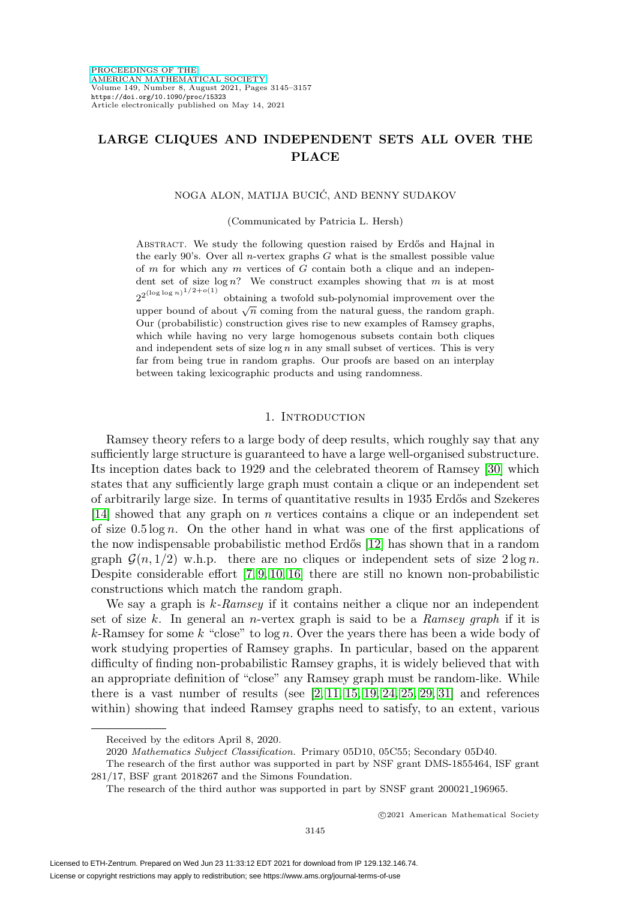## **LARGE CLIQUES AND INDEPENDENT SETS ALL OVER THE PLACE**

#### NOGA ALON, MATIJA BUCIC, AND BENNY SUDAKOV ´

(Communicated by Patricia L. Hersh)

ABSTRACT. We study the following question raised by Erdős and Hajnal in the early  $90's$ . Over all *n*-vertex graphs  $G$  what is the smallest possible value of  $m$  for which any  $m$  vertices of  $G$  contain both a clique and an independent set of size  $\log n$ ? We construct examples showing that m is at most  $2^{(\log \log n)^{1/2+o(1)}}$ obtaining a twofold sub-polynomial improvement over the upper bound of about  $\sqrt{n}$  coming from the natural guess, the random graph. Our (probabilistic) construction gives rise to new examples of Ramsey graphs, which while having no very large homogenous subsets contain both cliques and independent sets of size  $\log n$  in any small subset of vertices. This is very far from being true in random graphs. Our proofs are based on an interplay between taking lexicographic products and using randomness.

#### 1. INTRODUCTION

<span id="page-0-0"></span>Ramsey theory refers to a large body of deep results, which roughly say that any sufficiently large structure is guaranteed to have a large well-organised substructure. Its inception dates back to 1929 and the celebrated theorem of Ramsey [\[30\]](#page-12-0) which states that any sufficiently large graph must contain a clique or an independent set of arbitrarily large size. In terms of quantitative results in 1935 Erdős and Szekeres [\[14\]](#page-12-1) showed that any graph on n vertices contains a clique or an independent set of size  $0.5 \log n$ . On the other hand in what was one of the first applications of the now indispensable probabilistic method Erdős [\[12\]](#page-12-2) has shown that in a random graph  $\mathcal{G}(n, 1/2)$  w.h.p. there are no cliques or independent sets of size  $2 \log n$ . Despite considerable effort [\[7,](#page-11-0) [9,](#page-11-1) [10,](#page-11-2) [16\]](#page-12-3) there are still no known non-probabilistic constructions which match the random graph.

We say a graph is  $k$ -Ramsey if it contains neither a clique nor an independent set of size k. In general an *n*-vertex graph is said to be a *Ramsey graph* if it is  $k$ -Ramsey for some k "close" to  $log n$ . Over the years there has been a wide body of work studying properties of Ramsey graphs. In particular, based on the apparent difficulty of finding non-probabilistic Ramsey graphs, it is widely believed that with an appropriate definition of "close" any Ramsey graph must be random-like. While there is a vast number of results (see  $[2, 11, 15, 19, 24, 25, 29, 31]$  $[2, 11, 15, 19, 24, 25, 29, 31]$  $[2, 11, 15, 19, 24, 25, 29, 31]$  $[2, 11, 15, 19, 24, 25, 29, 31]$  $[2, 11, 15, 19, 24, 25, 29, 31]$  $[2, 11, 15, 19, 24, 25, 29, 31]$  $[2, 11, 15, 19, 24, 25, 29, 31]$  $[2, 11, 15, 19, 24, 25, 29, 31]$  and references within) showing that indeed Ramsey graphs need to satisfy, to an extent, various

-c 2021 American Mathematical Society

Received by the editors April 8, 2020.

<sup>2020</sup> Mathematics Subject Classification. Primary 05D10, 05C55; Secondary 05D40.

The research of the first author was supported in part by NSF grant DMS-1855464, ISF grant 281/17, BSF grant 2018267 and the Simons Foundation.

The research of the third author was supported in part by SNSF grant 200021 196965.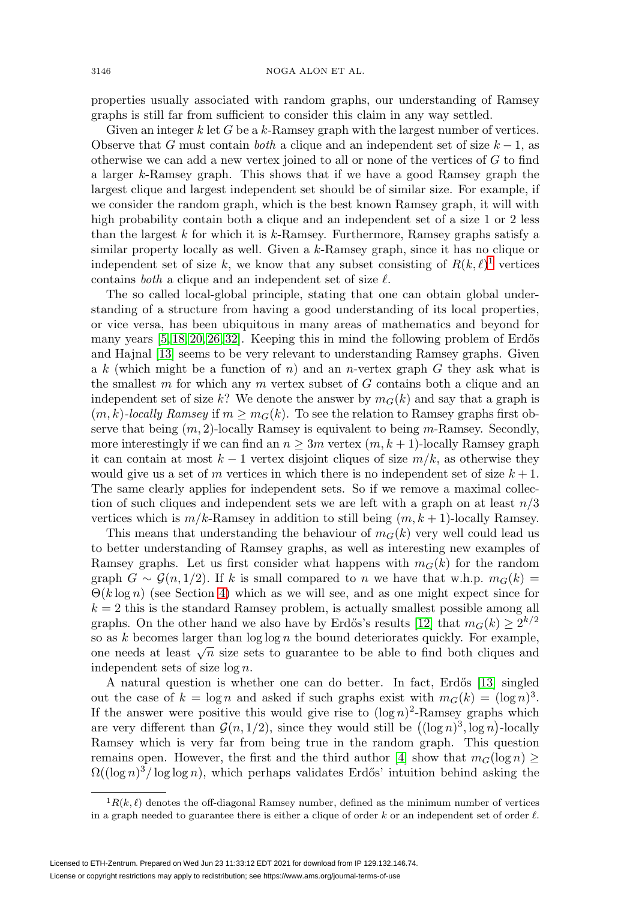properties usually associated with random graphs, our understanding of Ramsey graphs is still far from sufficient to consider this claim in any way settled.

Given an integer  $k$  let G be a  $k$ -Ramsey graph with the largest number of vertices. Observe that G must contain both a clique and an independent set of size  $k - 1$ , as otherwise we can add a new vertex joined to all or none of the vertices of  $G$  to find a larger k-Ramsey graph. This shows that if we have a good Ramsey graph the largest clique and largest independent set should be of similar size. For example, if we consider the random graph, which is the best known Ramsey graph, it will with high probability contain both a clique and an independent set of a size 1 or 2 less than the largest  $k$  for which it is  $k$ -Ramsey. Furthermore, Ramsey graphs satisfy a similar property locally as well. Given a k-Ramsey graph, since it has no clique or independent set of size k, we know that any subset consisting of  $R(k,\ell)$ <sup>[1](#page-1-0)</sup> vertices contains *both* a clique and an independent set of size  $\ell$ .

The so called local-global principle, stating that one can obtain global understanding of a structure from having a good understanding of its local properties, or vice versa, has been ubiquitous in many areas of mathematics and beyond for many years  $[5, 18, 20, 26, 32]$  $[5, 18, 20, 26, 32]$  $[5, 18, 20, 26, 32]$  $[5, 18, 20, 26, 32]$  $[5, 18, 20, 26, 32]$ . Keeping this in mind the following problem of Erdős and Hajnal [\[13\]](#page-12-15) seems to be very relevant to understanding Ramsey graphs. Given a k (which might be a function of n) and an n-vertex graph G they ask what is the smallest  $m$  for which any  $m$  vertex subset of  $G$  contains both a clique and an independent set of size k? We denote the answer by  $m_G(k)$  and say that a graph is  $(m, k)$ -locally Ramsey if  $m \geq m_G(k)$ . To see the relation to Ramsey graphs first observe that being  $(m, 2)$ -locally Ramsey is equivalent to being m-Ramsey. Secondly, more interestingly if we can find an  $n \geq 3m$  vertex  $(m, k + 1)$ -locally Ramsey graph it can contain at most  $k - 1$  vertex disjoint cliques of size  $m/k$ , as otherwise they would give us a set of m vertices in which there is no independent set of size  $k+1$ . The same clearly applies for independent sets. So if we remove a maximal collection of such cliques and independent sets we are left with a graph on at least  $n/3$ vertices which is  $m/k$ -Ramsey in addition to still being  $(m, k + 1)$ -locally Ramsey.

This means that understanding the behaviour of  $m_G(k)$  very well could lead us to better understanding of Ramsey graphs, as well as interesting new examples of Ramsey graphs. Let us first consider what happens with  $m_G(k)$  for the random graph  $G \sim \mathcal{G}(n, 1/2)$ . If k is small compared to n we have that w.h.p.  $m_G(k)$  $\Theta(k \log n)$  (see Section [4\)](#page-9-0) which as we will see, and as one might expect since for  $k = 2$  this is the standard Ramsey problem, is actually smallest possible among all graphs. On the other hand we also have by Erdős's results [\[12\]](#page-12-2) that  $m_G(k) \geq 2^{k/2}$ so as  $k$  becomes larger than  $\log \log n$  the bound deteriorates quickly. For example, one needs at least  $\sqrt{n}$  size sets to guarantee to be able to find both cliques and independent sets of size log n.

A natural question is whether one can do better. In fact, Erdős [\[13\]](#page-12-15) singled out the case of  $k = \log n$  and asked if such graphs exist with  $m_G(k) = (\log n)^3$ . If the answer were positive this would give rise to  $(\log n)^2$ -Ramsey graphs which are very different than  $\mathcal{G}(n, 1/2)$ , since they would still be  $((\log n)^3, \log n)$ -locally Ramsey which is very far from being true in the random graph. This question remains open. However, the first and the third author [\[4\]](#page-11-5) show that  $m_G(\log n) \geq$  $\Omega((\log n)^3/\log \log n)$ , which perhaps validates Erdős' intuition behind asking the

<span id="page-1-0"></span> ${}^{1}R(k, \ell)$  denotes the off-diagonal Ramsey number, defined as the minimum number of vertices in a graph needed to guarantee there is either a clique of order k or an independent set of order  $\ell$ .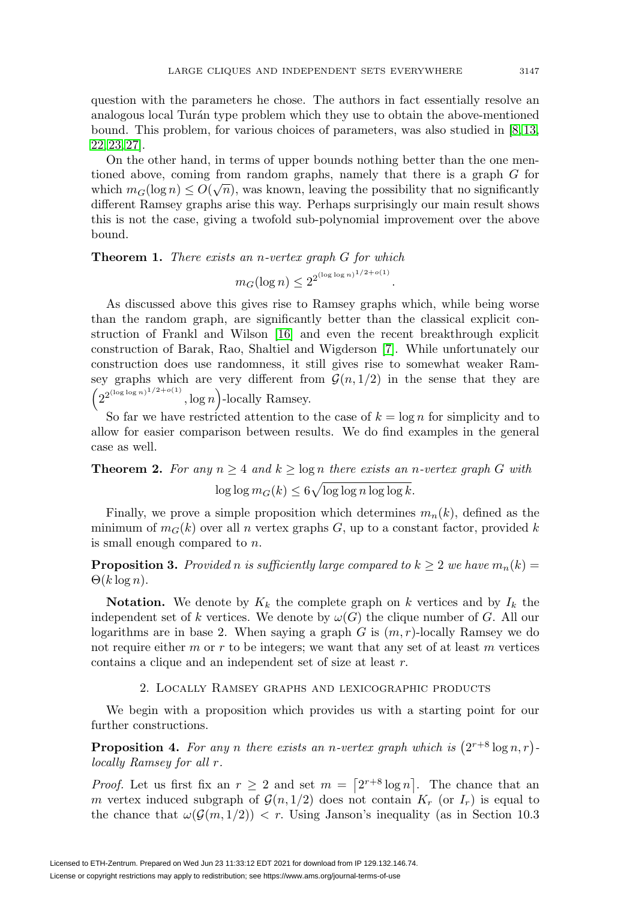question with the parameters he chose. The authors in fact essentially resolve an analogous local Turán type problem which they use to obtain the above-mentioned bound. This problem, for various choices of parameters, was also studied in [\[8,](#page-11-6) [13,](#page-12-15) [22,](#page-12-16) [23,](#page-12-17) [27\]](#page-12-18).

On the other hand, in terms of upper bounds nothing better than the one mentioned above, coming from random graphs, namely that there is a graph G for which  $m_G(\log n) \leq O(\sqrt{n})$ , was known, leaving the possibility that no significantly different Ramsey graphs arise this way. Perhaps surprisingly our main result shows this is not the case, giving a twofold sub-polynomial improvement over the above bound.

<span id="page-2-2"></span>**Theorem 1.** There exists an *n*-vertex graph G for which

$$
m_G(\log n) \le 2^{2^{(\log \log n)^{1/2 + o(1)}}}.
$$

As discussed above this gives rise to Ramsey graphs which, while being worse than the random graph, are significantly better than the classical explicit construction of Frankl and Wilson [\[16\]](#page-12-3) and even the recent breakthrough explicit construction of Barak, Rao, Shaltiel and Wigderson [\[7\]](#page-11-0). While unfortunately our construction does use randomness, it still gives rise to somewhat weaker Ramsey graphs which are very different from  $\mathcal{G}(n, 1/2)$  in the sense that they are  $\left(2^{2^{(\log \log n)^{1/2+o(1)}}}\right)$  $\log n$ -locally Ramsey.

So far we have restricted attention to the case of  $k = \log n$  for simplicity and to allow for easier comparison between results. We do find examples in the general case as well.

# <span id="page-2-1"></span>**Theorem 2.** For any  $n \geq 4$  and  $k \geq \log n$  there exists an n-vertex graph G with  $\log\log m_G(k) \leq 6\sqrt{\log\log n \log\log k}.$

Finally, we prove a simple proposition which determines  $m_n(k)$ , defined as the minimum of  $m_G(k)$  over all n vertex graphs G, up to a constant factor, provided k is small enough compared to n.

<span id="page-2-3"></span>**Proposition 3.** Provided n is sufficiently large compared to  $k \geq 2$  we have  $m_n(k) =$  $\Theta(k \log n)$ .

**Notation.** We denote by  $K_k$  the complete graph on k vertices and by  $I_k$  the independent set of k vertices. We denote by  $\omega(G)$  the clique number of G. All our logarithms are in base 2. When saying a graph  $G$  is  $(m, r)$ -locally Ramsey we do not require either m or r to be integers; we want that any set of at least m vertices contains a clique and an independent set of size at least r.

#### 2. Locally Ramsey graphs and lexicographic products

<span id="page-2-4"></span><span id="page-2-0"></span>We begin with a proposition which provides us with a starting point for our further constructions.

**Proposition 4.** For any n there exists an n-vertex graph which is  $(2^{r+8} \log n, r)$ locally Ramsey for all r.

*Proof.* Let us first fix an  $r \geq 2$  and set  $m = \lfloor 2^{r+8} \log n \rfloor$ . The chance that an m vertex induced subgraph of  $\mathcal{G}(n, 1/2)$  does not contain  $K_r$  (or  $I_r$ ) is equal to the chance that  $\omega(\mathcal{G}(m, 1/2)) < r$ . Using Janson's inequality (as in Section 10.3)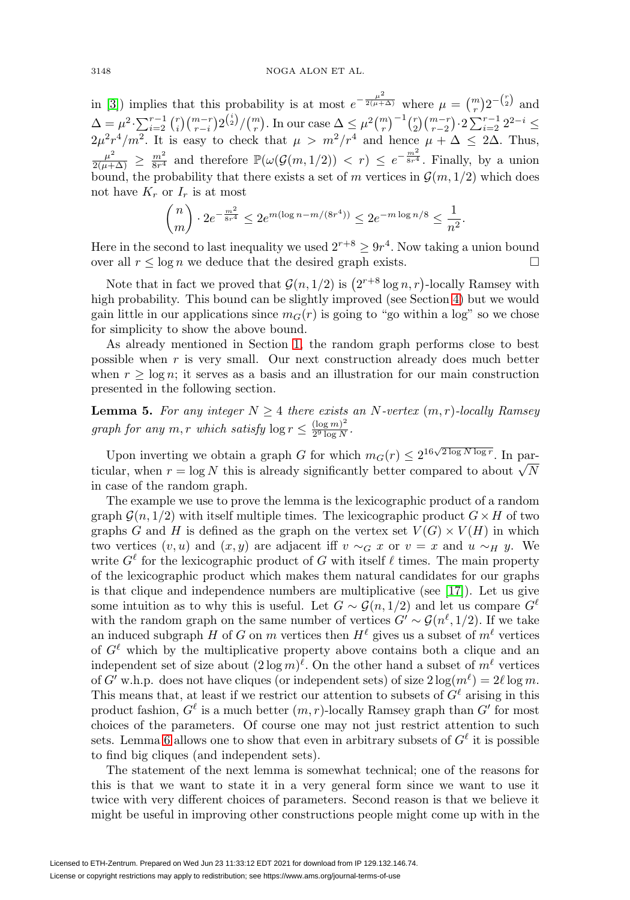in [\[3\]](#page-11-7)) implies that this probability is at most  $e^{-\frac{\mu^2}{2(\mu+\Delta)}}$  where  $\mu = \binom{m}{r} 2^{-\binom{r}{2}}$  and r  $\Delta = \mu^2 \cdot \sum_{i=2}^{r-1} {r \choose i} {m-r \choose r-i} 2^{\binom{i}{2}} / {m \choose r}.$  In our case  $\Delta \leq \mu^2 {m \choose r}^{-1} {r \choose 2} {m-r \choose r-2} \cdot 2 \sum_{i=2}^{r-1} 2^{2-i} \leq$  $2\mu^2r^4/m^2$ . It is easy to check that  $\mu > m^2/r^4$  and hence  $\mu + \Delta \leq 2\Delta$ . Thus,  $\frac{\mu^2}{2(\mu+\Delta)} \geq \frac{m^2}{8r^4}$  and therefore  $\mathbb{P}(\omega(\mathcal{G}(m,1/2)) < r) \leq e^{-\frac{m^2}{8r^4}}$ . Finally, by a union bound, the probability that there exists a set of m vertices in  $\mathcal{G}(m, 1/2)$  which does not have  $K_r$  or  $I_r$  is at most

$$
\binom{n}{m} \cdot 2e^{-\frac{m^2}{8r^4}} \le 2e^{m(\log n - m/(8r^4))} \le 2e^{-m\log n/8} \le \frac{1}{n^2}.
$$

Here in the second to last inequality we used  $2^{r+8} \ge 9r^4$ . Now taking a union bound over all  $r \leq \log n$  we deduce that the desired graph exists.  $\Box$ 

Note that in fact we proved that  $\mathcal{G}(n, 1/2)$  is  $(2^{r+8} \log n, r)$ -locally Ramsey with high probability. This bound can be slightly improved (see Section [4\)](#page-9-0) but we would gain little in our applications since  $m<sub>G</sub>(r)$  is going to "go within a log" so we chose for simplicity to show the above bound.

As already mentioned in Section [1,](#page-0-0) the random graph performs close to best possible when  $r$  is very small. Our next construction already does much better when  $r \geq \log n$ ; it serves as a basis and an illustration for our main construction presented in the following section.

<span id="page-3-0"></span>**Lemma 5.** For any integer  $N \geq 4$  there exists an N-vertex  $(m, r)$ -locally Ramsey graph for any  $m, r$  which satisfy  $\log r \leq \frac{(\log m)^2}{2^9 \log N}$ .

Upon inverting we obtain a graph G for which  $m_G(r) \leq 2^{16\sqrt{2 \log N \log r}}$ . In parbetter compared to about  $r = \log N$  this is already significantly better compared to about  $\sqrt{N}$ in case of the random graph.

The example we use to prove the lemma is the lexicographic product of a random graph  $\mathcal{G}(n, 1/2)$  with itself multiple times. The lexicographic product  $G \times H$  of two graphs G and H is defined as the graph on the vertex set  $V(G) \times V(H)$  in which two vertices  $(v, u)$  and  $(x, y)$  are adjacent iff  $v \sim_G x$  or  $v = x$  and  $u \sim_H y$ . We write  $G^{\ell}$  for the lexicographic product of G with itself  $\ell$  times. The main property of the lexicographic product which makes them natural candidates for our graphs is that clique and independence numbers are multiplicative (see [\[17\]](#page-12-19)). Let us give some intuition as to why this is useful. Let  $G \sim \mathcal{G}(n, 1/2)$  and let us compare  $G^{\ell}$ with the random graph on the same number of vertices  $G' \sim \mathcal{G}(n^{\ell}, 1/2)$ . If we take an induced subgraph H of G on  $m$  vertices then  $H^{\ell}$  gives us a subset of  $m^{\ell}$  vertices of  $G^{\ell}$  which by the multiplicative property above contains both a clique and an independent set of size about  $(2 \log m)^{\ell}$ . On the other hand a subset of  $m^{\ell}$  vertices of G' w.h.p. does not have cliques (or independent sets) of size  $2\log(m^{\ell}) = 2\ell \log m$ . This means that, at least if we restrict our attention to subsets of  $G^{\ell}$  arising in this product fashion,  $G^{\ell}$  is a much better  $(m, r)$ -locally Ramsey graph than  $G'$  for most choices of the parameters. Of course one may not just restrict attention to such sets. Lemma [6](#page-4-0) allows one to show that even in arbitrary subsets of  $G^{\ell}$  it is possible to find big cliques (and independent sets).

The statement of the next lemma is somewhat technical; one of the reasons for this is that we want to state it in a very general form since we want to use it twice with very different choices of parameters. Second reason is that we believe it might be useful in improving other constructions people might come up with in the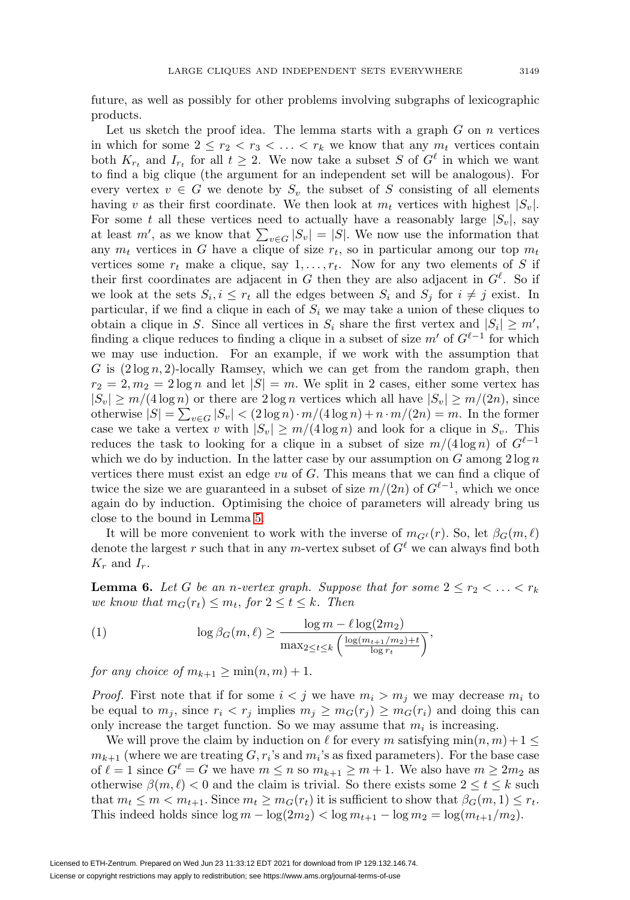future, as well as possibly for other problems involving subgraphs of lexicographic products.

Let us sketch the proof idea. The lemma starts with a graph  $G$  on  $n$  vertices in which for some  $2 \leq r_2 < r_3 < \ldots < r_k$  we know that any  $m_t$  vertices contain both  $K_{r_t}$  and  $I_{r_t}$  for all  $t \geq 2$ . We now take a subset S of  $G^{\ell}$  in which we want to find a big clique (the argument for an independent set will be analogous). For every vertex  $v \in G$  we denote by  $S_v$  the subset of S consisting of all elements having v as their first coordinate. We then look at  $m_t$  vertices with highest  $|S_v|$ . For some t all these vertices need to actually have a reasonably large  $|S_v|$ , say at least m', as we know that  $\sum_{v \in G} |S_v| = |S|$ . We now use the information that any  $m_t$  vertices in G have a clique of size  $r_t$ , so in particular among our top  $m_t$ vertices some  $r_t$  make a clique, say  $1, \ldots, r_t$ . Now for any two elements of S if their first coordinates are adjacent in G then they are also adjacent in  $G^{\ell}$ . So if we look at the sets  $S_i, i \leq r_t$  all the edges between  $S_i$  and  $S_j$  for  $i \neq j$  exist. In particular, if we find a clique in each of  $S_i$  we may take a union of these cliques to obtain a clique in S. Since all vertices in  $S_i$  share the first vertex and  $|S_i| \geq m'$ , finding a clique reduces to finding a clique in a subset of size  $m'$  of  $G^{\ell-1}$  for which we may use induction. For an example, if we work with the assumption that G is  $(2 \log n, 2)$ -locally Ramsey, which we can get from the random graph, then  $r_2 = 2, m_2 = 2 \log n$  and let  $|S| = m$ . We split in 2 cases, either some vertex has  $|S_v| \ge m/(4 \log n)$  or there are  $2 \log n$  vertices which all have  $|S_v| \ge m/(2n)$ , since otherwise  $|S| = \sum_{v \in G} |S_v| < (2 \log n) \cdot m/(4 \log n) + n \cdot m/(2n) = m$ . In the former case we take a vertex v with  $|S_v| \geq m/(4 \log n)$  and look for a clique in  $S_v$ . This reduces the task to looking for a clique in a subset of size  $m/(4 \log n)$  of  $G^{\ell-1}$ which we do by induction. In the latter case by our assumption on  $G$  among  $2 \log n$ vertices there must exist an edge  $vu$  of  $G$ . This means that we can find a clique of twice the size we are guaranteed in a subset of size  $m/(2n)$  of  $G^{\ell-1}$ , which we once again do by induction. Optimising the choice of parameters will already bring us close to the bound in Lemma [5.](#page-3-0)

It will be more convenient to work with the inverse of  $m_{G^{\ell}}(r)$ . So, let  $\beta_G(m,\ell)$ denote the largest r such that in any m-vertex subset of  $G^{\ell}$  we can always find both  $K_r$  and  $I_r$ .

<span id="page-4-0"></span>**Lemma 6.** Let G be an n-vertex graph. Suppose that for some  $2 \leq r_2 < \ldots < r_k$ we know that  $m_G(r_t) \leq m_t$ , for  $2 \leq t \leq k$ . Then

<span id="page-4-1"></span>(1) 
$$
\log \beta_G(m,\ell) \geq \frac{\log m - \ell \log(2m_2)}{\max_{2 \leq t \leq k} \left( \frac{\log(m_{t+1}/m_2) + t}{\log r_t} \right)},
$$

for any choice of  $m_{k+1} \geq \min(n,m)+1$ .

*Proof.* First note that if for some  $i < j$  we have  $m_i > m_j$  we may decrease  $m_i$  to be equal to  $m_j$ , since  $r_i < r_j$  implies  $m_j \geq m_G(r_j) \geq m_G(r_i)$  and doing this can only increase the target function. So we may assume that  $m_i$  is increasing.

We will prove the claim by induction on  $\ell$  for every m satisfying  $\min(n, m) + 1 \leq$  $m_{k+1}$  (where we are treating  $G, r_i$ 's and  $m_i$ 's as fixed parameters). For the base case of  $\ell = 1$  since  $G^{\ell} = G$  we have  $m \leq n$  so  $m_{k+1} \geq m+1$ . We also have  $m \geq 2m_2$  as otherwise  $\beta(m,\ell) < 0$  and the claim is trivial. So there exists some  $2 \le t \le k$  such that  $m_t \leq m < m_{t+1}$ . Since  $m_t \geq m_G(r_t)$  it is sufficient to show that  $\beta_G(m, 1) \leq r_t$ . This indeed holds since  $\log m - \log(2m_2) < \log m_{t+1} - \log m_2 = \log(m_{t+1}/m_2)$ .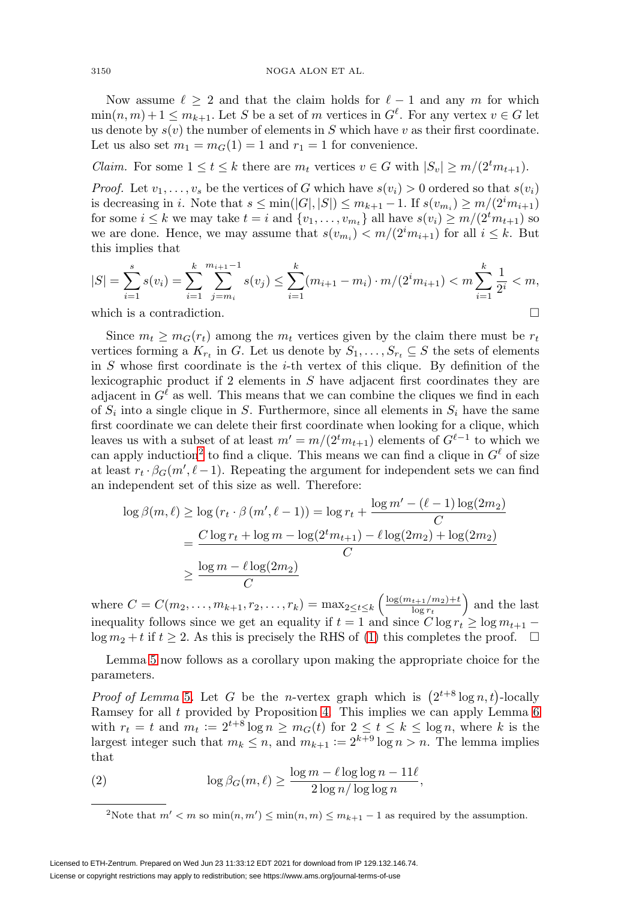Now assume  $\ell \geq 2$  and that the claim holds for  $\ell - 1$  and any m for which  $\min(n, m) + 1 \leq m_{k+1}$ . Let S be a set of m vertices in  $G^{\ell}$ . For any vertex  $v \in G$  let us denote by  $s(v)$  the number of elements in S which have v as their first coordinate. Let us also set  $m_1 = m_G(1) = 1$  and  $r_1 = 1$  for convenience.

*Claim.* For some  $1 \le t \le k$  there are  $m_t$  vertices  $v \in G$  with  $|S_v| \ge m/(2^t m_{t+1})$ .

*Proof.* Let  $v_1, \ldots, v_s$  be the vertices of G which have  $s(v_i) > 0$  ordered so that  $s(v_i)$ is decreasing in *i*. Note that  $s \le \min(|G|, |S|) \le m_{k+1} - 1$ . If  $s(v_{m_i}) \ge m/(2^i m_{i+1})$ for some  $i \leq k$  we may take  $t = i$  and  $\{v_1, \ldots, v_{m_t}\}\$ all have  $s(v_i) \geq m/(2^t m_{t+1})$  so we are done. Hence, we may assume that  $s(v_{m_i}) < m/(2^i m_{i+1})$  for all  $i \leq k$ . But this implies that

$$
|S| = \sum_{i=1}^{s} s(v_i) = \sum_{i=1}^{k} \sum_{j=m_i}^{m_{i+1}-1} s(v_j) \le \sum_{i=1}^{k} (m_{i+1} - m_i) \cdot m / (2^i m_{i+1}) < m \sum_{i=1}^{k} \frac{1}{2^i} < m,
$$
\nwhich is a contradiction.

which is a contradiction.

Since  $m_t \geq m_G(r_t)$  among the  $m_t$  vertices given by the claim there must be  $r_t$ vertices forming a  $K_{r_t}$  in G. Let us denote by  $S_1,\ldots,S_{r_t} \subseteq S$  the sets of elements in  $S$  whose first coordinate is the *i*-th vertex of this clique. By definition of the lexicographic product if 2 elements in S have adjacent first coordinates they are adjacent in  $G^{\ell}$  as well. This means that we can combine the cliques we find in each of  $S_i$  into a single clique in S. Furthermore, since all elements in  $S_i$  have the same first coordinate we can delete their first coordinate when looking for a clique, which leaves us with a subset of at least  $m' = m/(2^t m_{t+1})$  elements of  $G^{\ell-1}$  to which we can apply induction<sup>[2](#page-5-0)</sup> to find a clique. This means we can find a clique in  $G^{\ell}$  of size at least  $r_t \cdot \beta_G(m', \ell-1)$ . Repeating the argument for independent sets we can find an independent set of this size as well. Therefore:

$$
\log \beta(m,\ell) \ge \log (r_t \cdot \beta(m',\ell-1)) = \log r_t + \frac{\log m' - (\ell-1)\log(2m_2)}{C}
$$
  
= 
$$
\frac{C \log r_t + \log m - \log(2^t m_{t+1}) - \ell \log(2m_2) + \log(2m_2)}{C}
$$
  

$$
\ge \frac{\log m - \ell \log(2m_2)}{C}
$$

where  $C = C(m_2, \ldots, m_{k+1}, r_2, \ldots, r_k) = \max_{2 \le t \le k} \left( \frac{\log(m_{t+1}/m_2) + t}{\log r_t} \right)$  and the last inequality follows since we get an equality if  $t = 1$  and since  $C \log r_t \geq \log m_{t+1}$  $\log m_2 + t$  if  $t \geq 2$ . As this is precisely the RHS of [\(1\)](#page-4-1) this completes the proof.  $\Box$ 

Lemma [5](#page-3-0) now follows as a corollary upon making the appropriate choice for the parameters.

*Proof of Lemma* [5](#page-3-0). Let G be the *n*-vertex graph which is  $(2^{t+8} \log n, t)$ -locally Ramsey for all  $t$  provided by Proposition [4.](#page-2-0) This implies we can apply Lemma  $6$ with  $r_t = t$  and  $m_t := 2^{t+8} \log n \geq m_G(t)$  for  $2 \leq t \leq k \leq \log n$ , where k is the largest integer such that  $m_k \leq n$ , and  $m_{k+1} := 2^{k+9} \log n > n$ . The lemma implies that

<span id="page-5-1"></span>(2) 
$$
\log \beta_G(m,\ell) \ge \frac{\log m - \ell \log \log n - 11\ell}{2 \log n / \log \log n},
$$

<span id="page-5-0"></span><sup>2</sup>Note that  $m' < m$  so  $\min(n, m') \leq \min(n, m) \leq m_{k+1} - 1$  as required by the assumption.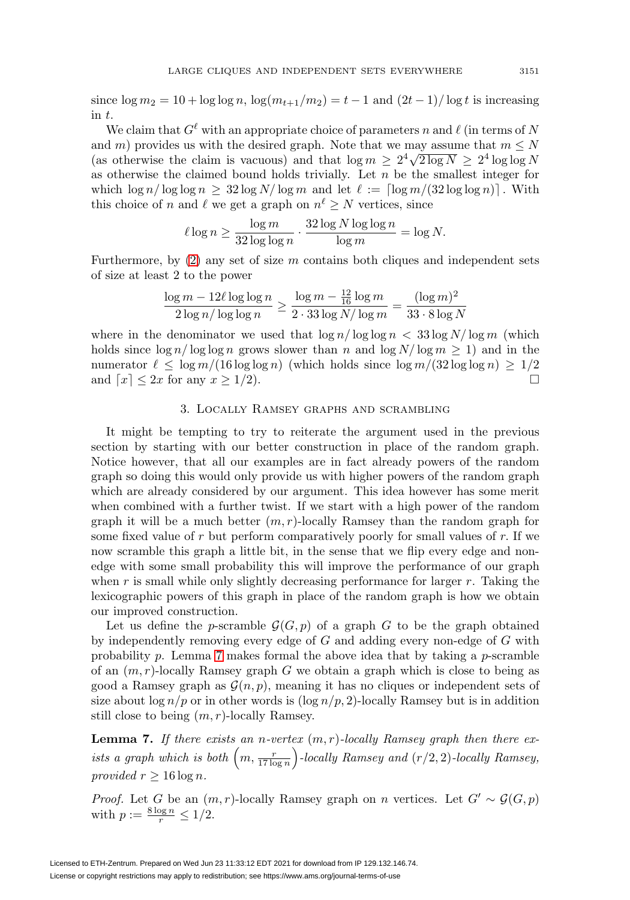since  $\log m_2 = 10 + \log \log n$ ,  $\log(m_{t+1}/m_2) = t - 1$  and  $(2t - 1)/\log t$  is increasing in t.

We claim that  $G^{\ell}$  with an appropriate choice of parameters n and  $\ell$  (in terms of N and m) provides us with the desired graph. Note that we may assume that  $m \leq N$ (as otherwise the claim is vacuous) and that  $\log m \geq 2^4 \sqrt{2 \log N} \geq 2^4 \log \log N$ as otherwise the claimed bound holds trivially. Let  $n$  be the smallest integer for which  $\log n / \log \log n \geq 32 \log N / \log m$  and let  $\ell := \lceil \log m / (32 \log \log n) \rceil$ . With this choice of n and  $\ell$  we get a graph on  $n^{\ell} \geq N$  vertices, since

$$
\ell \log n \ge \frac{\log m}{32 \log \log n} \cdot \frac{32 \log N \log \log n}{\log m} = \log N.
$$

Furthermore, by  $(2)$  any set of size m contains both cliques and independent sets of size at least 2 to the power

$$
\frac{\log m - 12\ell\log\log n}{2\log n/\log\log n} \ge \frac{\log m - \frac{12}{16}\log m}{2 \cdot 33\log N/\log m} = \frac{(\log m)^2}{33 \cdot 8\log N}
$$

where in the denominator we used that  $\log n / \log \log n < 33 \log N / \log m$  (which holds since  $\log n / \log \log n$  grows slower than n and  $\log N / \log m \ge 1$ ) and in the numerator  $\ell \leq \log m/(16 \log \log n)$  (which holds since  $\log m/(32 \log \log n) \geq 1/2$ and  $\lceil x \rceil \leq 2x$  for any  $x \geq 1/2$ ).

#### 3. Locally Ramsey graphs and scrambling

It might be tempting to try to reiterate the argument used in the previous section by starting with our better construction in place of the random graph. Notice however, that all our examples are in fact already powers of the random graph so doing this would only provide us with higher powers of the random graph which are already considered by our argument. This idea however has some merit when combined with a further twist. If we start with a high power of the random graph it will be a much better  $(m, r)$ -locally Ramsey than the random graph for some fixed value of r but perform comparatively poorly for small values of r. If we now scramble this graph a little bit, in the sense that we flip every edge and nonedge with some small probability this will improve the performance of our graph when r is small while only slightly decreasing performance for larger r. Taking the lexicographic powers of this graph in place of the random graph is how we obtain our improved construction.

Let us define the p-scramble  $\mathcal{G}(G, p)$  of a graph G to be the graph obtained by independently removing every edge of G and adding every non-edge of G with probability p. Lemma [7](#page-6-0) makes formal the above idea that by taking a p-scramble of an  $(m, r)$ -locally Ramsey graph G we obtain a graph which is close to being as good a Ramsey graph as  $\mathcal{G}(n, p)$ , meaning it has no cliques or independent sets of size about  $\log n/p$  or in other words is  $(\log n/p, 2)$ -locally Ramsey but is in addition still close to being  $(m, r)$ -locally Ramsey.

<span id="page-6-0"></span>**Lemma 7.** If there exists an n-vertex  $(m, r)$ -locally Ramsey graph then there exists a graph which is both  $\left(m, \frac{r}{17 \log n}\right)$ -locally Ramsey and  $(r/2, 2)$ -locally Ramsey, provided  $r \geq 16 \log n$ .

*Proof.* Let G be an  $(m, r)$ -locally Ramsey graph on n vertices. Let  $G' \sim \mathcal{G}(G, p)$ with  $p := \frac{8 \log n}{r} \leq 1/2$ .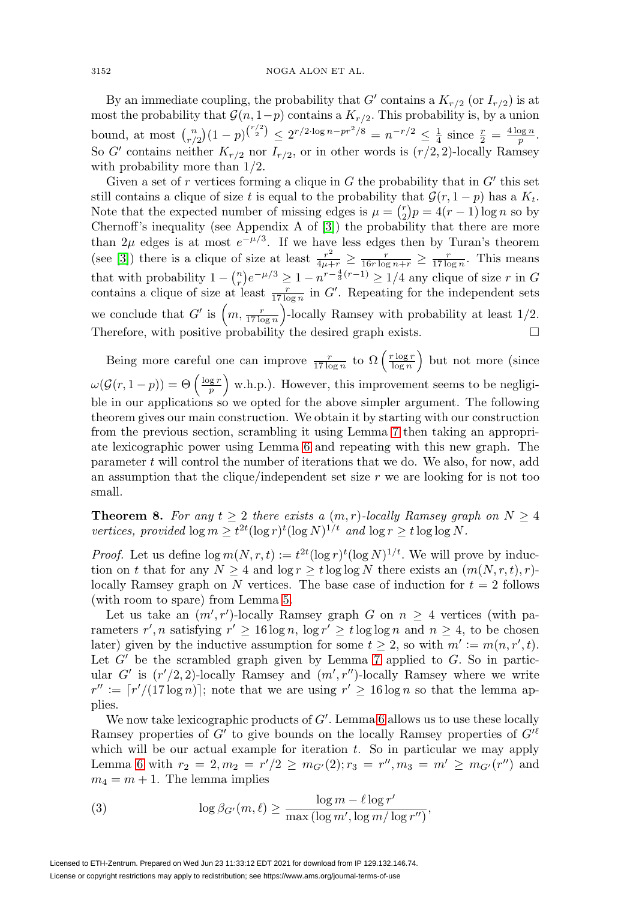By an immediate coupling, the probability that G' contains a  $K_{r/2}$  (or  $I_{r/2}$ ) is at most the probability that  $\mathcal{G}(n, 1-p)$  contains a  $K_{r/2}$ . This probability is, by a union bound, at most  $\binom{n}{r/2}(1-p)^{\binom{r/2}{2}} \leq 2^{r/2 \cdot \log n - pr^2/8} = n^{-r/2} \leq \frac{1}{4}$  since  $\frac{r}{2} = \frac{4 \log n}{p}$ . So G' contains neither  $K_{r/2}$  nor  $I_{r/2}$ , or in other words is  $(r/2, 2)$ -locally Ramsey with probability more than  $1/2$ .

Given a set of r vertices forming a clique in  $G$  the probability that in  $G'$  this set still contains a clique of size t is equal to the probability that  $\mathcal{G}(r, 1-p)$  has a  $K_t$ . Note that the expected number of missing edges is  $\mu = \binom{r}{2}p = 4(r-1)\log n$  so by Chernoff's inequality (see Appendix A of [\[3\]](#page-11-7)) the probability that there are more than  $2\mu$  edges is at most  $e^{-\mu/3}$ . If we have less edges then by Turan's theorem (see [\[3\]](#page-11-7)) there is a clique of size at least  $\frac{r^2}{4\mu+r} \ge \frac{r}{16r \log n+r} \ge \frac{r}{17 \log n}$ . This means that with probability  $1 - {n \choose r} e^{-\mu/3} \geq 1 - n^{r - \frac{4}{3}(r-1)} \geq 1/4$  any clique of size r in G contains a clique of size at least  $\frac{r}{17 \log n}$  in G'. Repeating for the independent sets we conclude that G' is  $\left(m, \frac{r}{17 \log n}\right)$ -locally Ramsey with probability at least 1/2. Therefore, with positive probability the desired graph exists.  $\Box$ 

Being more careful one can improve  $\frac{r}{17 \log n}$  to  $\Omega\left(\frac{r \log r}{\log n}\right)$  but not more (since  $\omega(\mathcal{G}(r, 1-p)) = \Theta\left(\frac{\log r}{p}\right)$  w.h.p.). However, this improvement seems to be negligible in our applications so we opted for the above simpler argument. The following theorem gives our main construction. We obtain it by starting with our construction from the previous section, scrambling it using Lemma [7](#page-6-0) then taking an appropriate lexicographic power using Lemma [6](#page-4-0) and repeating with this new graph. The parameter  $t$  will control the number of iterations that we do. We also, for now, add an assumption that the clique/independent set size  $r$  we are looking for is not too small.

<span id="page-7-1"></span>**Theorem 8.** For any  $t \geq 2$  there exists a  $(m, r)$ -locally Ramsey graph on  $N \geq 4$ vertices, provided  $\log m \geq t^{2t} (\log r)^t (\log N)^{1/t}$  and  $\log r \geq t \log \log N$ .

*Proof.* Let us define  $\log m(N, r, t) := t^{2t} (\log r)^t (\log N)^{1/t}$ . We will prove by induction on t that for any  $N \geq 4$  and  $\log r \geq t \log \log N$  there exists an  $(m(N, r, t), r)$ locally Ramsey graph on N vertices. The base case of induction for  $t = 2$  follows (with room to spare) from Lemma [5.](#page-3-0)

Let us take an  $(m', r')$ -locally Ramsey graph G on  $n \geq 4$  vertices (with parameters  $r', n$  satisfying  $r' \ge 16 \log n$ ,  $\log r' \ge t \log \log n$  and  $n \ge 4$ , to be chosen later) given by the inductive assumption for some  $t \geq 2$ , so with  $m' := m(n, r', t)$ . Let  $G'$  be the scrambled graph given by Lemma [7](#page-6-0) applied to  $G$ . So in particular G' is  $(r'/2, 2)$ -locally Ramsey and  $(m', r'')$ -locally Ramsey where we write  $r'' := \lceil r'/(17 \log n) \rceil$ ; note that we are using  $r' \ge 16 \log n$  so that the lemma applies.

We now take lexicographic products of  $G'$ . Lemma [6](#page-4-0) allows us to use these locally Ramsey properties of G' to give bounds on the locally Ramsey properties of  $G^{\prime \ell}$ which will be our actual example for iteration  $t$ . So in particular we may apply Lemma [6](#page-4-0) with  $r_2 = 2, m_2 = r'/2 \ge m_{G'}(2); r_3 = r'', m_3 = m' \ge m_{G'}(r'')$  and  $m_4 = m + 1$ . The lemma implies

<span id="page-7-0"></span>(3) 
$$
\log \beta_{G'}(m,\ell) \geq \frac{\log m - \ell \log r'}{\max (\log m', \log m / \log r'')},
$$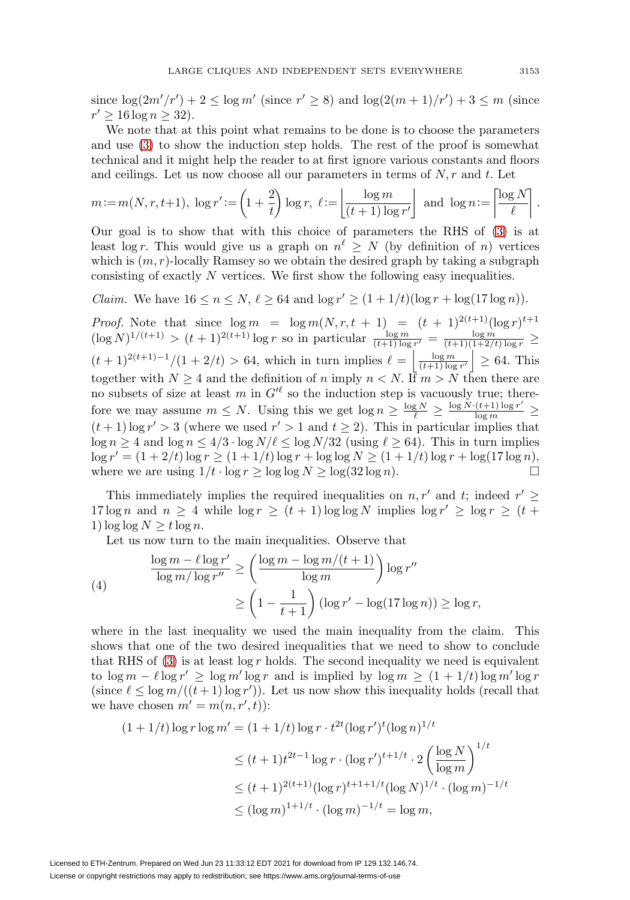since  $\log(2m'/r') + 2 \leq \log m'$  (since  $r' \geq 8$ ) and  $\log(2(m+1)/r') + 3 \leq m$  (since  $r' > 16 \log n > 32$ .

We note that at this point what remains to be done is to choose the parameters and use [\(3\)](#page-7-0) to show the induction step holds. The rest of the proof is somewhat technical and it might help the reader to at first ignore various constants and floors and ceilings. Let us now choose all our parameters in terms of  $N, r$  and t. Let

$$
m := m(N, r, t+1), \log r' := \left(1 + \frac{2}{t}\right) \log r, \ \ell := \left\lfloor \frac{\log m}{(t+1) \log r'} \right\rfloor \text{ and } \log n := \left\lceil \frac{\log N}{\ell} \right\rceil.
$$

Our goal is to show that with this choice of parameters the RHS of [\(3\)](#page-7-0) is at least log r. This would give us a graph on  $n^{\ell} \geq N$  (by definition of n) vertices which is  $(m, r)$ -locally Ramsey so we obtain the desired graph by taking a subgraph consisting of exactly N vertices. We first show the following easy inequalities.

*Claim.* We have  $16 \le n \le N$ ,  $\ell \ge 64$  and  $\log r' \ge (1 + 1/t)(\log r + \log(17 \log n))$ .

*Proof.* Note that since  $\log m = \log m(N, r, t + 1) = (t + 1)^{2(t+1)}(\log r)^{t+1}$  $(\log N)^{1/(t+1)} > (t+1)^{2(t+1)} \log r$  so in particular  $\frac{\log m}{(t+1)\log r'} = \frac{\log m}{(t+1)(1+2/t)\log r} \ge$  $(t+1)^{2(t+1)-1}/(1+2/t) > 64$ , which in turn implies  $\ell = \left|\frac{\log m}{(t+1)\log r'}\right| \geq 64$ . This together with  $N \geq 4$  and the definition of n imply  $n < N$ . If  $m > N$  then there are no subsets of size at least m in  $G^{\prime \ell}$  so the induction step is vacuously true; therefore we may assume  $m \leq N$ . Using this we get  $\log n \geq \frac{\log N}{\ell} \geq \frac{\log N \cdot (t+1) \log r'}{\log m} \geq$  $(t + 1) \log r' > 3$  (where we used  $r' > 1$  and  $t \ge 2$ ). This in particular implies that  $\log n \ge 4$  and  $\log n \le 4/3 \cdot \log N/\ell \le \log N/32$  (using  $\ell \ge 64$ ). This in turn implies  $\log r' = (1 + 2/t) \log r \ge (1 + 1/t) \log r + \log \log N \ge (1 + 1/t) \log r + \log(17 \log n),$ where we are using  $1/t \cdot \log r \ge \log \log N \ge \log (32 \log n)$ .

This immediately implies the required inequalities on  $n, r'$  and t; indeed  $r' \geq$ 17 log n and  $n \geq 4$  while  $\log r \geq (t+1) \log \log N$  implies  $\log r' \geq \log r \geq (t+1) \log \log N$ 1)  $\log \log N \geq t \log n$ .

Let us now turn to the main inequalities. Observe that

<span id="page-8-0"></span>(4)  
\n
$$
\frac{\log m - \ell \log r'}{\log m / \log r''} \ge \left(\frac{\log m - \log m / (t+1)}{\log m}\right) \log r''
$$
\n
$$
\ge \left(1 - \frac{1}{t+1}\right) (\log r' - \log(17 \log n)) \ge \log r,
$$

where in the last inequality we used the main inequality from the claim. This shows that one of the two desired inequalities that we need to show to conclude that RHS of  $(3)$  is at least  $\log r$  holds. The second inequality we need is equivalent to  $\log m - \ell \log r' \ge \log m' \log r$  and is implied by  $\log m \ge (1 + 1/t) \log m' \log r$ (since  $\ell \leq \log m/((t+1) \log r')$ ). Let us now show this inequality holds (recall that we have chosen  $m' = m(n, r', t)$ :

$$
(1 + 1/t) \log r \log m' = (1 + 1/t) \log r \cdot t^{2t} (\log r')^t (\log n)^{1/t}
$$
  
\n
$$
\le (t + 1)t^{2t-1} \log r \cdot (\log r')^{t+1/t} \cdot 2 \left(\frac{\log N}{\log m}\right)^{1/t}
$$
  
\n
$$
\le (t + 1)^{2(t+1)} (\log r)^{t+1+1/t} (\log N)^{1/t} \cdot (\log m)^{-1/t}
$$
  
\n
$$
\le (\log m)^{1+1/t} \cdot (\log m)^{-1/t} = \log m,
$$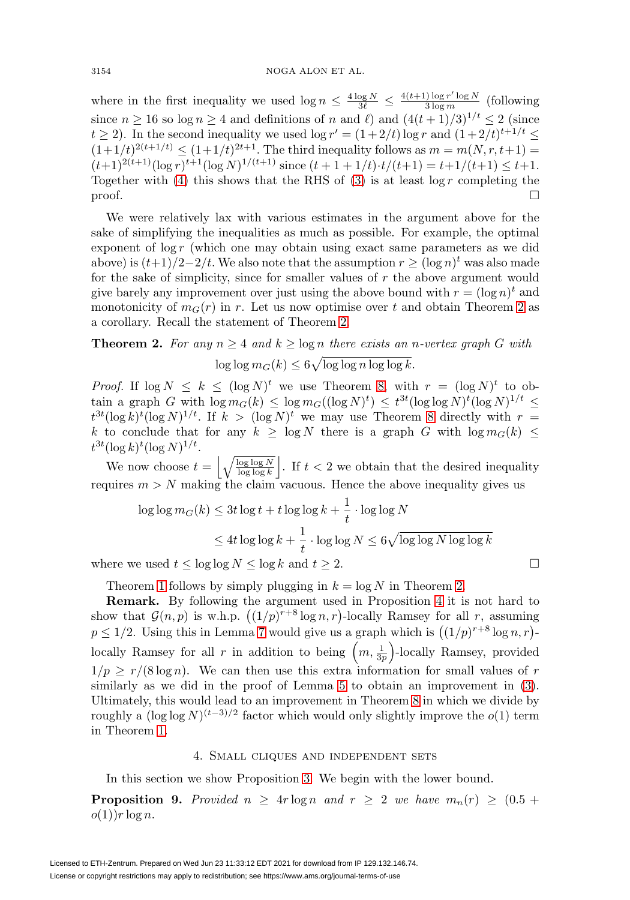where in the first inequality we used  $\log n \leq \frac{4 \log N}{3\ell} \leq \frac{4(t+1) \log r' \log N}{3 \log m}$  (following since  $n \ge 16$  so  $\log n \ge 4$  and definitions of n and  $\ell$ ) and  $(4(t+1)/3)^{1/t} \le 2$  (since  $t \geq 2$ ). In the second inequality we used  $\log r' = (1 + 2/t) \log r$  and  $(1 + 2/t)^{t+1/t} \leq$  $(1+1/t)^{2(t+1/t)} \leq (1+1/t)^{2t+1}$ . The third inequality follows as  $m = m(N, r, t+1)$  $(t+1)^{2(t+1)}(\log r)^{t+1}(\log N)^{1/(t+1)}$  since  $(t+1+1/t)\cdot t/(t+1) = t+1/(t+1) \leq t+1$ . Together with [\(4\)](#page-8-0) this shows that the RHS of [\(3\)](#page-7-0) is at least  $\log r$  completing the  $\Box$ 

We were relatively lax with various estimates in the argument above for the sake of simplifying the inequalities as much as possible. For example, the optimal exponent of  $\log r$  (which one may obtain using exact same parameters as we did above) is  $(t+1)/2-2/t$ . We also note that the assumption  $r > (\log n)^t$  was also made for the sake of simplicity, since for smaller values of r the above argument would give barely any improvement over just using the above bound with  $r = (\log n)^t$  and monotonicity of  $m_G(r)$  in r. Let us now optimise over t and obtain Theorem [2](#page-2-1) as a corollary. Recall the statement of Theorem [2.](#page-2-1)

**Theorem 2.** For any 
$$
n \ge 4
$$
 and  $k \ge \log n$  there exists an *n*-vertex graph *G* with  $\log \log m_G(k) \le 6\sqrt{\log \log n \log \log k}$ .

*Proof.* If  $\log N \le k \le (\log N)^t$  we use Theorem [8,](#page-7-1) with  $r = (\log N)^t$  to obtain a graph G with  $\log m_G(k) \leq \log m_G((\log N)^t) \leq t^{3t}(\log \log N)^t(\log N)^{1/t} \leq$  $t^{3t}(\log k)^t(\log N)^{1/t}$ . If  $k > (\log N)^t$  we may use Theorem [8](#page-7-1) directly with  $r =$ k to conclude that for any  $k \geq \log N$  there is a graph G with  $\log m_G(k) \leq$  $t^{3t}(\log k)^t(\log N)^{1/t}.$ 

We now choose  $t = \left| \sqrt{\frac{\log \log N}{\log \log k}} \right|$ . If  $t < 2$  we obtain that the desired inequality requires  $m > N$  making the claim vacuous. Hence the above inequality gives us

$$
\log \log m_G(k) \le 3t \log t + t \log \log k + \frac{1}{t} \cdot \log \log N
$$
  

$$
\le 4t \log \log k + \frac{1}{t} \cdot \log \log N \le 6\sqrt{\log \log N \log \log k}
$$

 $\Box$ 

where we used  $t \leq \log \log N \leq \log k$  and  $t \geq 2$ .

Theorem [1](#page-2-2) follows by simply plugging in  $k = \log N$  in Theorem [2.](#page-2-1)

**Remark.** By following the argument used in Proposition [4](#page-2-0) it is not hard to show that  $\mathcal{G}(n, p)$  is w.h.p.  $((1/p)^{r+8} \log n, r)$ -locally Ramsey for all r, assuming  $p \leq 1/2$ . Using this in Lemma [7](#page-6-0) would give us a graph which is  $((1/p)^{r+8} \log n, r)$ locally Ramsey for all r in addition to being  $\left(m, \frac{1}{3p}\right)$ -locally Ramsey, provided  $1/p \ge r/(8 \log n)$ . We can then use this extra information for small values of r similarly as we did in the proof of Lemma [5](#page-3-0) to obtain an improvement in  $(3)$ . Ultimately, this would lead to an improvement in Theorem [8](#page-7-1) in which we divide by roughly a  $(\log \log N)^{(t-3)/2}$  factor which would only slightly improve the  $o(1)$  term in Theorem [1.](#page-2-2)

#### 4. Small cliques and independent sets

<span id="page-9-1"></span><span id="page-9-0"></span>In this section we show Proposition [3.](#page-2-3) We begin with the lower bound.

**Proposition 9.** Provided  $n \geq 4r \log n$  and  $r \geq 2$  we have  $m_n(r) \geq (0.5 +$  $o(1)$ )  $r \log n$ .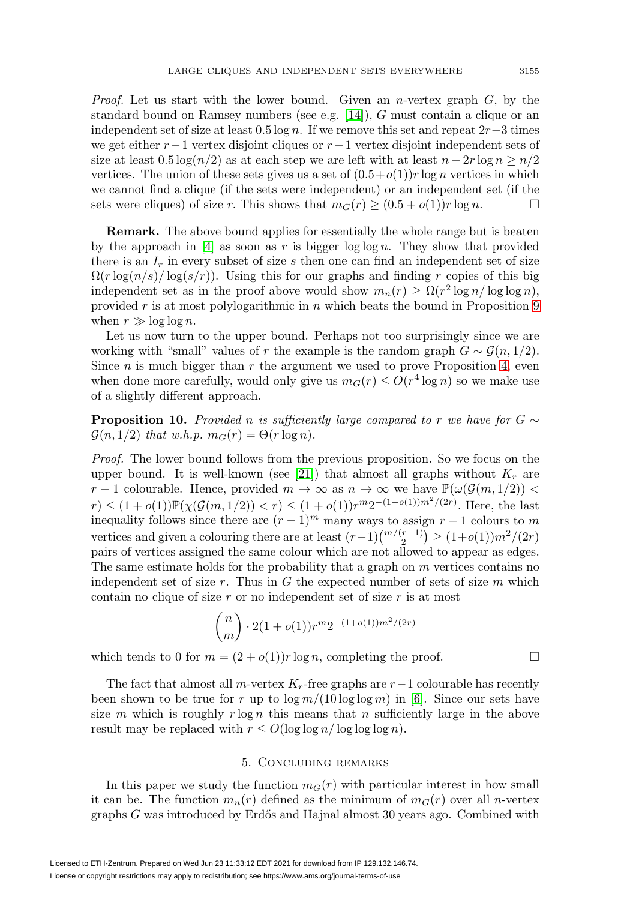Proof. Let us start with the lower bound. Given an n-vertex graph  $G$ , by the standard bound on Ramsey numbers (see e.g. [\[14\]](#page-12-1)), G must contain a clique or an independent set of size at least 0.5 log n. If we remove this set and repeat  $2r-3$  times we get either  $r-1$  vertex disjoint cliques or  $r-1$  vertex disjoint independent sets of size at least  $0.5 \log(n/2)$  as at each step we are left with at least  $n - 2r \log n \geq n/2$ vertices. The union of these sets gives us a set of  $(0.5+o(1))r \log n$  vertices in which we cannot find a clique (if the sets were independent) or an independent set (if the sets were cliques) of size r. This shows that  $m_G(r) \ge (0.5 + o(1))r \log n$ .

**Remark.** The above bound applies for essentially the whole range but is beaten by the approach in  $[4]$  as soon as r is bigger  $\log \log n$ . They show that provided there is an  $I_r$  in every subset of size s then one can find an independent set of size  $\Omega(r \log(n/s) / \log(s/r))$ . Using this for our graphs and finding r copies of this big independent set as in the proof above would show  $m_n(r) \geq \Omega(r^2 \log n / \log \log n)$ , provided r is at most polylogarithmic in n which beats the bound in Proposition  $9$ when  $r \gg \log \log n$ .

Let us now turn to the upper bound. Perhaps not too surprisingly since we are working with "small" values of r the example is the random graph  $G \sim \mathcal{G}(n, 1/2)$ . Since  $n$  is much bigger than  $r$  the argument we used to prove Proposition [4,](#page-2-0) even when done more carefully, would only give us  $m_G(r) \leq O(r^4 \log n)$  so we make use of a slightly different approach.

**Proposition 10.** Provided n is sufficiently large compared to r we have for  $G \sim$  $\mathcal{G}(n, 1/2)$  that w.h.p.  $m_G(r) = \Theta(r \log n)$ .

Proof. The lower bound follows from the previous proposition. So we focus on the upper bound. It is well-known (see [\[21\]](#page-12-20)) that almost all graphs without  $K_r$  are r − 1 colourable. Hence, provided  $m \to \infty$  as  $n \to \infty$  we have  $\mathbb{P}(\omega(\mathcal{G}(m, 1/2))$  <  $r) \leq (1+o(1)) \mathbb{P}(\chi(\mathcal{G}(m,1/2)) < r) \leq (1+o(1))r^m 2^{-(1+o(1))m^2/(2r)}$ . Here, the last inequality follows since there are  $(r-1)^m$  many ways to assign  $r-1$  colours to m vertices and given a colouring there are at least  $(r-1)\binom{m/(r-1)}{2} \geq (1+o(1))m^2/(2r)$ pairs of vertices assigned the same colour which are not allowed to appear as edges. The same estimate holds for the probability that a graph on  $m$  vertices contains no independent set of size r. Thus in G the expected number of sets of size  $m$  which contain no clique of size  $r$  or no independent set of size  $r$  is at most

$$
\binom{n}{m} \cdot 2(1+o(1))r^m 2^{-(1+o(1))m^2/(2r)}
$$

which tends to 0 for  $m = (2 + o(1))r \log n$ , completing the proof.

The fact that almost all m-vertex  $K_r$ -free graphs are  $r-1$  colourable has recently been shown to be true for r up to  $\log m/(10 \log \log m)$  in [\[6\]](#page-11-8). Since our sets have size m which is roughly  $r \log n$  this means that n sufficiently large in the above result may be replaced with  $r \leq O(\log \log n / \log \log \log n)$ .

### 5. Concluding remarks

In this paper we study the function  $m<sub>G</sub>(r)$  with particular interest in how small it can be. The function  $m_n(r)$  defined as the minimum of  $m_G(r)$  over all n-vertex graphs  $G$  was introduced by Erdős and Hajnal almost 30 years ago. Combined with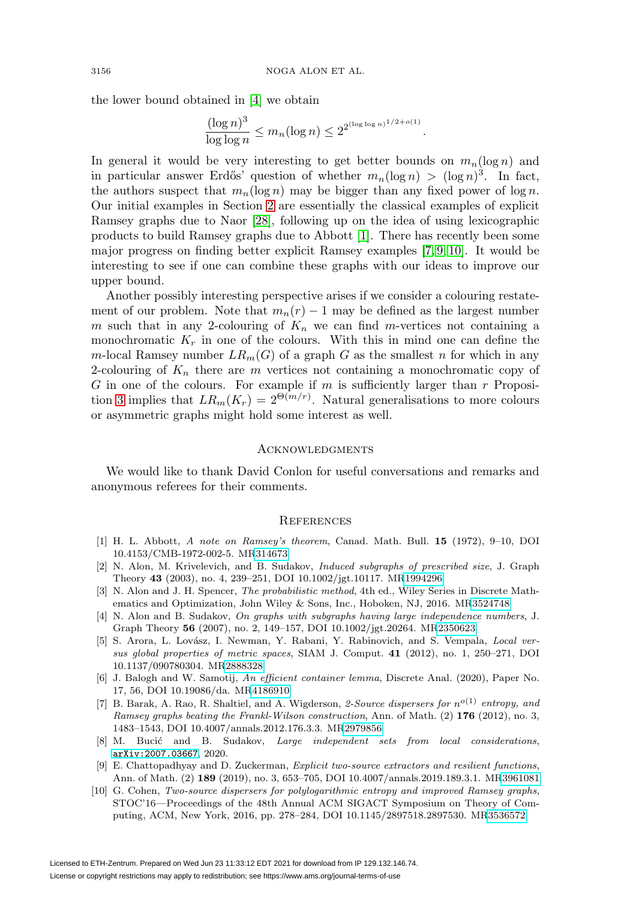the lower bound obtained in [\[4\]](#page-11-5) we obtain

$$
\frac{(\log n)^3}{\log \log n} \le m_n(\log n) \le 2^{2^{(\log \log n)^{1/2 + o(1)}}}.
$$

In general it would be very interesting to get better bounds on  $m_n(\log n)$  and in particular answer Erdős' question of whether  $m_n(\log n) > (\log n)^3$ . In fact, the authors suspect that  $m_n(\log n)$  may be bigger than any fixed power of  $\log n$ . Our initial examples in Section [2](#page-2-4) are essentially the classical examples of explicit Ramsey graphs due to Naor [\[28\]](#page-12-21), following up on the idea of using lexicographic products to build Ramsey graphs due to Abbott [\[1\]](#page-11-9). There has recently been some major progress on finding better explicit Ramsey examples [\[7,](#page-11-0) [9,](#page-11-1) [10\]](#page-11-2). It would be interesting to see if one can combine these graphs with our ideas to improve our upper bound.

Another possibly interesting perspective arises if we consider a colouring restatement of our problem. Note that  $m_n(r) - 1$  may be defined as the largest number m such that in any 2-colouring of  $K_n$  we can find m-vertices not containing a monochromatic  $K_r$  in one of the colours. With this in mind one can define the m-local Ramsey number  $LR_m(G)$  of a graph G as the smallest n for which in any 2-colouring of  $K_n$  there are m vertices not containing a monochromatic copy of  $G$  in one of the colours. For example if  $m$  is sufficiently larger than  $r$  Proposi-tion [3](#page-2-3) implies that  $LR_m(K_r)=2^{\Theta(m/r)}$ . Natural generalisations to more colours or asymmetric graphs might hold some interest as well.

#### **ACKNOWLEDGMENTS**

We would like to thank David Conlon for useful conversations and remarks and anonymous referees for their comments.

#### **REFERENCES**

- <span id="page-11-9"></span>[1] H. L. Abbott, A note on Ramsey's theorem, Canad. Math. Bull. **15** (1972), 9–10, DOI 10.4153/CMB-1972-002-5. M[R314673](https://www.ams.org/mathscinet-getitem?mr=314673)
- <span id="page-11-3"></span>[2] N. Alon, M. Krivelevich, and B. Sudakov, Induced subgraphs of prescribed size, J. Graph Theory **43** (2003), no. 4, 239–251, DOI 10.1002/jgt.10117. M[R1994296](https://www.ams.org/mathscinet-getitem?mr=1994296)
- <span id="page-11-7"></span>[3] N. Alon and J. H. Spencer, The probabilistic method, 4th ed., Wiley Series in Discrete Mathematics and Optimization, John Wiley & Sons, Inc., Hoboken, NJ, 2016. M[R3524748](https://www.ams.org/mathscinet-getitem?mr=3524748)
- <span id="page-11-5"></span>[4] N. Alon and B. Sudakov, On graphs with subgraphs having large independence numbers, J. Graph Theory **56** (2007), no. 2, 149–157, DOI 10.1002/jgt.20264. M[R2350623](https://www.ams.org/mathscinet-getitem?mr=2350623)
- <span id="page-11-4"></span>[5] S. Arora, L. Lovász, I. Newman, Y. Rabani, Y. Rabinovich, and S. Vempala, *Local ver*sus global properties of metric spaces, SIAM J. Comput. **41** (2012), no. 1, 250–271, DOI 10.1137/090780304. M[R2888328](https://www.ams.org/mathscinet-getitem?mr=2888328)
- <span id="page-11-8"></span>[6] J. Balogh and W. Samotij, An efficient container lemma, Discrete Anal. (2020), Paper No. 17, 56, DOI 10.19086/da. M[R4186910](https://www.ams.org/mathscinet-getitem?mr=4186910)
- <span id="page-11-0"></span>[7] B. Barak, A. Rao, R. Shaltiel, and A. Wigderson, 2-Source dispersers for  $n^{o(1)}$  entropy, and Ramsey graphs beating the Frankl-Wilson construction, Ann. of Math. (2) **176** (2012), no. 3, 1483–1543, DOI 10.4007/annals.2012.176.3.3. M[R2979856](https://www.ams.org/mathscinet-getitem?mr=2979856)
- <span id="page-11-6"></span>[8] M. Bucić and B. Sudakov, Large independent sets from local considerations, [arXiv:2007.03667](https://arxiv.org/abs/2007.03667), 2020.
- <span id="page-11-1"></span>[9] E. Chattopadhyay and D. Zuckerman, Explicit two-source extractors and resilient functions, Ann. of Math. (2) **189** (2019), no. 3, 653–705, DOI 10.4007/annals.2019.189.3.1. M[R3961081](https://www.ams.org/mathscinet-getitem?mr=3961081)
- <span id="page-11-2"></span>[10] G. Cohen, Two-source dispersers for polylogarithmic entropy and improved Ramsey graphs, STOC'16—Proceedings of the 48th Annual ACM SIGACT Symposium on Theory of Computing, ACM, New York, 2016, pp. 278–284, DOI 10.1145/2897518.2897530. M[R3536572](https://www.ams.org/mathscinet-getitem?mr=3536572)